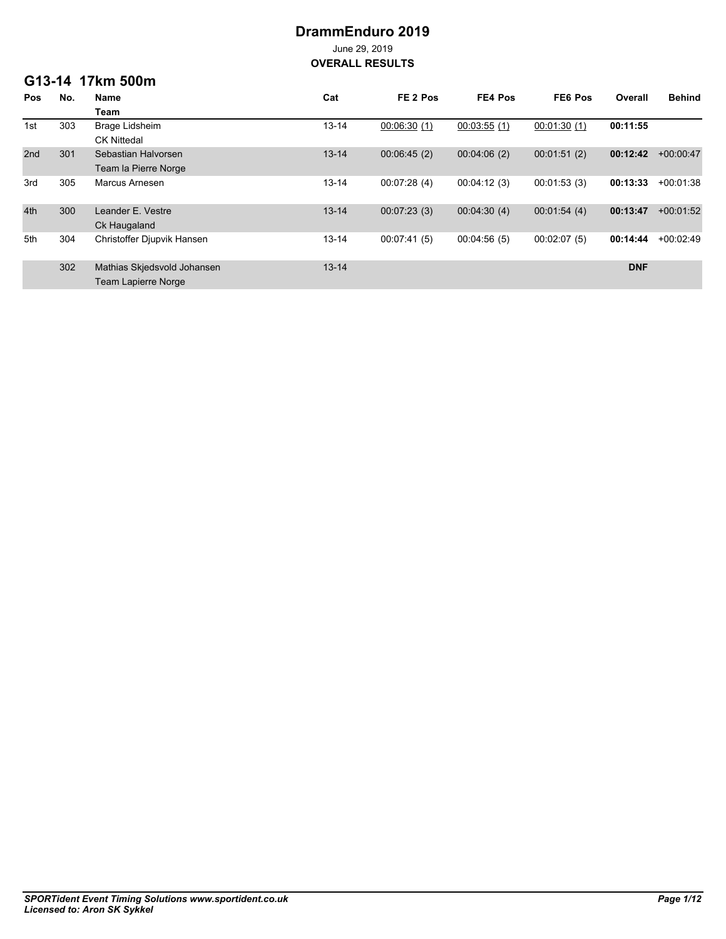# **DrammEnduro 2019**

June 29, 2019 **OVERALL RESULTS**

### **G13-14 17km 500m**

| <b>Pos</b> | No. | Name                        | Cat       | FE <sub>2</sub> Pos | FE4 Pos     | FE6 Pos     | Overall    | <b>Behind</b> |
|------------|-----|-----------------------------|-----------|---------------------|-------------|-------------|------------|---------------|
|            |     | Team                        |           |                     |             |             |            |               |
| 1st        | 303 | <b>Brage Lidsheim</b>       | $13 - 14$ | 00:06:30(1)         | 00:03:55(1) | 00:01:30(1) | 00:11:55   |               |
|            |     | <b>CK Nittedal</b>          |           |                     |             |             |            |               |
| 2nd        | 301 | Sebastian Halvorsen         | $13 - 14$ | 00:06:45(2)         | 00:04:06(2) | 00:01:51(2) | 00:12:42   | $+00:00:47$   |
|            |     | Team la Pierre Norge        |           |                     |             |             |            |               |
| 3rd        | 305 | Marcus Arnesen              | $13 - 14$ | 00:07:28(4)         | 00:04:12(3) | 00:01:53(3) | 00:13:33   | $+00.01.38$   |
|            |     |                             |           |                     |             |             |            |               |
| 4th        | 300 | Leander E. Vestre           | $13 - 14$ | 00:07:23(3)         | 00:04:30(4) | 00:01:54(4) | 00:13:47   | $+00:01:52$   |
|            |     | Ck Haugaland                |           |                     |             |             |            |               |
| 5th        | 304 | Christoffer Djupvik Hansen  | $13 - 14$ | 00:07:41(5)         | 00:04:56(5) | 00:02:07(5) | 00:14:44   | $+00:02:49$   |
|            |     |                             |           |                     |             |             |            |               |
|            | 302 | Mathias Skjedsvold Johansen | $13 - 14$ |                     |             |             | <b>DNF</b> |               |
|            |     | <b>Team Lapierre Norge</b>  |           |                     |             |             |            |               |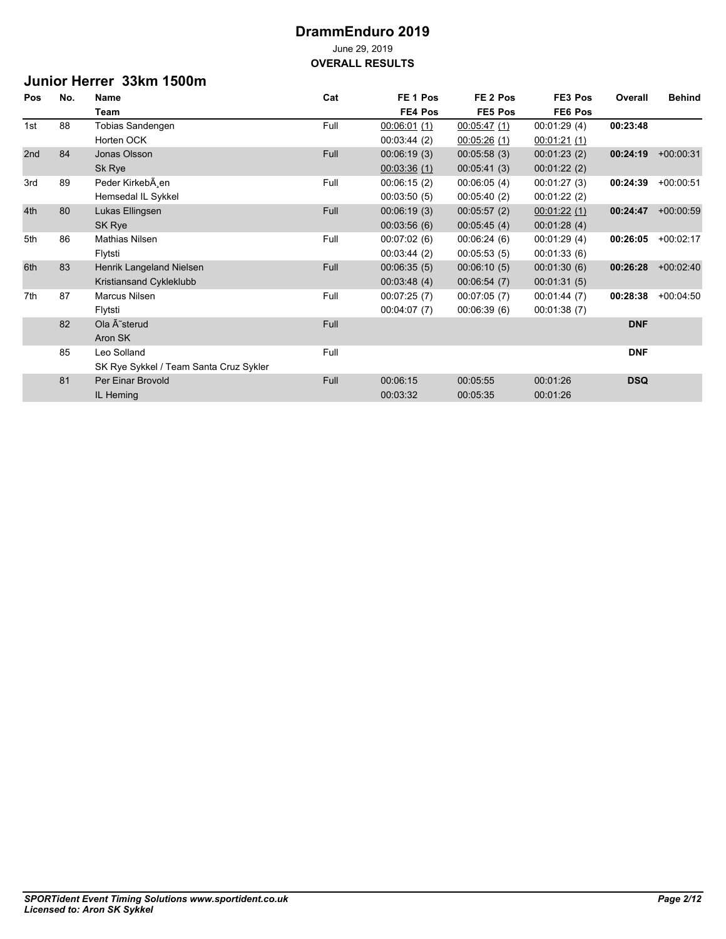### **Junior Herrer 33km 1500m**

| Pos | No. | <b>Name</b>                            | Cat  | FE <sub>1</sub> Pos | FE <sub>2</sub> Pos | FE3 Pos     | Overall    | <b>Behind</b> |
|-----|-----|----------------------------------------|------|---------------------|---------------------|-------------|------------|---------------|
|     |     | Team                                   |      | FE4 Pos             | FE5 Pos             | FE6 Pos     |            |               |
| 1st | 88  | Tobias Sandengen                       | Full | 00:06:01(1)         | 00:05:47(1)         | 00:01:29(4) | 00:23:48   |               |
|     |     | Horten OCK                             |      | 00:03:44(2)         | 00:05:26(1)         | 00:01:21(1) |            |               |
| 2nd | 84  | Jonas Olsson                           | Full | 00:06:19(3)         | 00:05:58(3)         | 00:01:23(2) | 00:24:19   | $+00:00:31$   |
|     |     | Sk Rye                                 |      | 00:03:36(1)         | 00:05:41(3)         | 00:01:22(2) |            |               |
| 3rd | 89  | Peder Kirkeb en                        | Full | 00:06:15(2)         | 00:06:05(4)         | 00:01:27(3) | 00:24:39   | $+00:00:51$   |
|     |     | Hemsedal IL Sykkel                     |      | 00:03:50(5)         | 00:05:40(2)         | 00:01:22(2) |            |               |
| 4th | 80  | Lukas Ellingsen                        | Full | 00:06:19(3)         | 00:05:57(2)         | 00:01:22(1) | 00:24:47   | $+00:00:59$   |
|     |     | SK Rye                                 |      | 00:03:56(6)         | 00:05:45(4)         | 00:01:28(4) |            |               |
| 5th | 86  | Mathias Nilsen                         | Full | 00:07:02(6)         | 00:06:24(6)         | 00:01:29(4) | 00:26:05   | $+00:02:17$   |
|     |     | Flytsti                                |      | 00:03:44(2)         | 00:05:53(5)         | 00:01:33(6) |            |               |
| 6th | 83  | Henrik Langeland Nielsen               | Full | 00:06:35(5)         | 00:06:10(5)         | 00:01:30(6) | 00:26:28   | $+00:02:40$   |
|     |     | Kristiansand Cykleklubb                |      | 00:03.48(4)         | 00:06:54(7)         | 00:01:31(5) |            |               |
| 7th | 87  | Marcus Nilsen                          | Full | 00:07:25(7)         | 00:07:05(7)         | 00:01:44(7) | 00:28:38   | $+00:04:50$   |
|     |     | Flytsti                                |      | 00:04:07(7)         | 00:06:39(6)         | 00:01:38(7) |            |               |
|     | 82  | Ola Ã~sterud                           | Full |                     |                     |             | <b>DNF</b> |               |
|     |     | Aron SK                                |      |                     |                     |             |            |               |
|     | 85  | Leo Solland                            | Full |                     |                     |             | <b>DNF</b> |               |
|     |     | SK Rye Sykkel / Team Santa Cruz Sykler |      |                     |                     |             |            |               |
|     | 81  | Per Einar Brovold                      | Full | 00:06:15            | 00:05:55            | 00:01:26    | <b>DSQ</b> |               |
|     |     | IL Heming                              |      | 00:03:32            | 00:05:35            | 00:01:26    |            |               |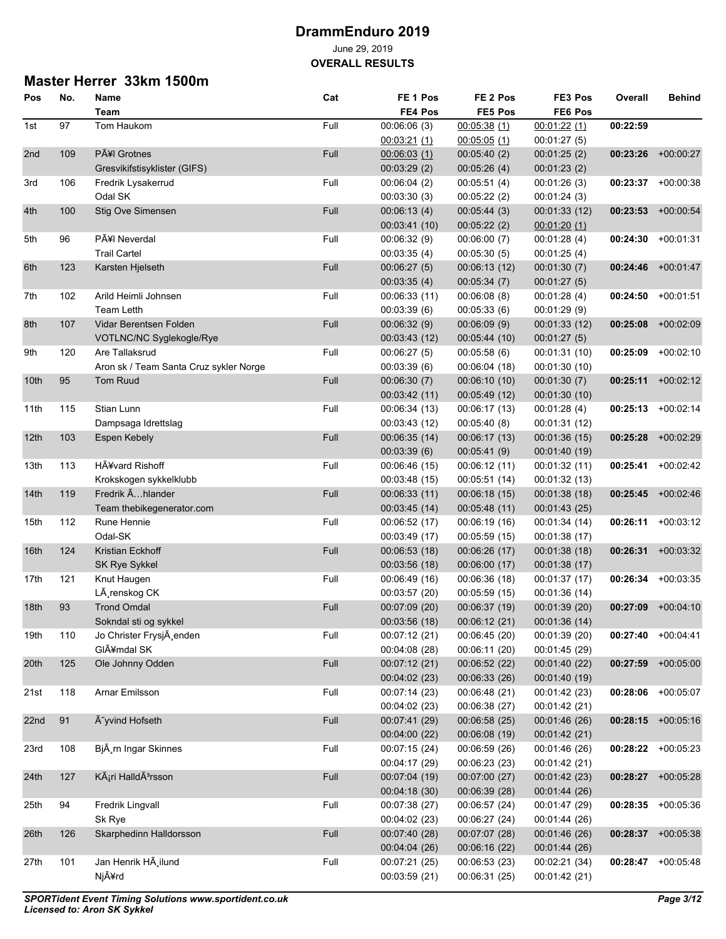**OVERALL RESULTS**

## **Master Herrer 33km 1500m**

| Pos              | No. | Name                                   | Cat  | FE <sub>1</sub> Pos | FE <sub>2</sub> Pos | FE3 Pos       | Overall  | Behind               |
|------------------|-----|----------------------------------------|------|---------------------|---------------------|---------------|----------|----------------------|
|                  |     | Team                                   |      | FE4 Pos             | FE5 Pos             | FE6 Pos       |          |                      |
| 1st              | 97  | Tom Haukom                             | Full | 00:06:06(3)         | 00:05:38(1)         | 00:01:22(1)   | 00:22:59 |                      |
|                  |     |                                        |      | 00.03.21(1)         | 00.05.05(1)         | 00:01:27(5)   |          |                      |
| 2nd              | 109 | <b>PÃ¥I</b> Grotnes                    | Full | 00.06.03(1)         | 00:05:40(2)         | 00:01:25(2)   | 00:23:26 | $+00:00:27$          |
|                  |     | Gresvikifstisyklister (GIFS)           |      | 00:03:29(2)         | 00:05:26(4)         | 00:01:23(2)   |          |                      |
| 3rd              | 106 | Fredrik Lysakerrud                     | Full | 00:06:04(2)         | 00:05:51(4)         | 00:01:26(3)   | 00:23:37 | $+00:00:38$          |
|                  |     | Odal SK                                |      | 00:03:30(3)         | 00:05:22(2)         | 00:01:24(3)   |          |                      |
| 4th              | 100 | Stig Ove Simensen                      | Full | 00.06:13(4)         | 00:05:44(3)         | 00:01:33 (12) | 00:23:53 | $+00:00:54$          |
|                  |     |                                        |      | 00:03:41 (10)       | 00:05:22(2)         | 00:01:20(1)   |          |                      |
| 5th              | 96  | <b>PÃ¥I Neverdal</b>                   | Full | 00:06:32(9)         | 00:06:00(7)         | 00:01:28(4)   | 00:24:30 | $+00.01:31$          |
|                  |     | <b>Trail Cartel</b>                    |      | 00:03:35(4)         | 00:05:30(5)         | 00:01:25(4)   |          |                      |
| 6th              | 123 | Karsten Hielseth                       | Full | 00:06:27(5)         | 00:06:13(12)        | 00:01:30(7)   | 00:24:46 | $+00.01.47$          |
|                  |     |                                        |      |                     |                     |               |          |                      |
|                  |     |                                        | Full | 00:03:35(4)         | 00:05:34(7)         | 00:01:27(5)   |          | $+00:01:51$          |
| 7th              | 102 | Arild Heimli Johnsen                   |      | 00:06:33 (11)       | 00:06:08(8)         | 00:01:28(4)   | 00:24:50 |                      |
|                  |     | <b>Team Letth</b>                      |      | 00:03:39(6)         | 00:05:33(6)         | 00:01:29 (9)  |          |                      |
| 8th              | 107 | Vidar Berentsen Folden                 | Full | 00:06:32(9)         | 00:06:09(9)         | 00:01:33 (12) | 00:25:08 | $+00.02:09$          |
|                  |     | VOTLNC/NC Syglekogle/Rye               |      | 00:03:43 (12)       | 00:05:44(10)        | 00:01:27(5)   |          |                      |
| 9th              | 120 | Are Tallaksrud                         | Full | 00:06:27(5)         | 00:05:58(6)         | 00:01:31 (10) | 00:25:09 | $+00:02:10$          |
|                  |     | Aron sk / Team Santa Cruz sykler Norge |      | 00:03:39(6)         | 00:06:04(18)        | 00:01:30 (10) |          |                      |
| 10th             | 95  | <b>Tom Ruud</b>                        | Full | 00:06:30(7)         | 00:06:10 (10)       | 00:01:30(7)   | 00:25:11 | $+00:02:12$          |
|                  |     |                                        |      | 00:03:42(11)        | 00:05:49 (12)       | 00:01:30 (10) |          |                      |
| 11th             | 115 | Stian Lunn                             | Full | 00:06:34 (13)       | 00:06:17 (13)       | 00:01:28(4)   |          | $00:25:13 +00:02:14$ |
|                  |     | Dampsaga Idrettslag                    |      | 00:03:43 (12)       | 00:05:40(8)         | 00:01:31 (12) |          |                      |
| 12th             | 103 | <b>Espen Kebely</b>                    | Full | 00:06:35(14)        | 00:06:17 (13)       | 00:01:36 (15) | 00:25:28 | $+00:02:29$          |
|                  |     |                                        |      | 00:03:39(6)         | 00.05.41(9)         | 00:01:40 (19) |          |                      |
| 13th             | 113 | HÃ¥vard Rishoff                        | Full | 00:06:46 (15)       | 00:06:12 (11)       | 00:01:32 (11) | 00:25:41 | $+00:02:42$          |
|                  |     | Krokskogen sykkelklubb                 |      | 00:03:48 (15)       | 00:05:51(14)        | 00:01:32 (13) |          |                      |
| 14th             | 119 | Fredrik Ahlander                       | Full | 00:06:33(11)        | 00:06:18 (15)       | 00:01:38 (18) | 00:25:45 | $+00.02:46$          |
|                  |     | Team thebikegenerator.com              |      | 00:03:45(14)        | 00:05:48(11)        | 00:01:43 (25) |          |                      |
| 15th             | 112 | Rune Hennie                            | Full | 00:06:52 (17)       | 00.06:19(16)        | 00:01:34 (14) | 00:26:11 | $+00:03:12$          |
|                  |     | Odal-SK                                |      | 00:03:49 (17)       | 00:05:59 (15)       | 00:01:38 (17) |          |                      |
| 16 <sup>th</sup> | 124 | Kristian Eckhoff                       | Full | 00:06:53 (18)       | 00:06:26 (17)       | 00:01:38 (18) | 00:26:31 | $+00.03.32$          |
|                  |     | SK Rye Sykkel                          |      | 00:03:56(18)        | 00:06:00 (17)       | 00:01:38 (17) |          |                      |
| 17th             | 121 | Knut Haugen                            | Full | 00:06:49 (16)       | 00:06:36 (18)       | 00:01:37 (17) | 00:26:34 | $+00:03:35$          |
|                  |     | LÃ renskog CK                          |      | 00:03:57 (20)       | 00:05:59 (15)       | 00:01:36 (14) |          |                      |
| 18th             | 93  | <b>Trond Omdal</b>                     | Full | 00:07:09 (20)       | 00:06:37 (19)       | 00:01:39 (20) | 00:27:09 | $+00.04:10$          |
|                  |     | Sokndal sti og sykkel                  |      | 00:03:56 (18)       | 00:06:12 (21)       | 00:01:36 (14) |          |                      |
| 19th             | 110 | Jo Christer FrysjÄ enden               | Full | 00:07:12 (21)       | 00:06:45 (20)       | 00:01:39 (20) | 00:27:40 | $+00.04.41$          |
|                  |     | GIÃ¥mdal SK                            |      | 00:04:08 (28)       | 00:06:11 (20)       | 00:01:45 (29) |          |                      |
| 20th             | 125 | Ole Johnny Odden                       | Full | 00:07:12 (21)       | 00:06:52(22)        | 00:01:40 (22) | 00:27:59 | $+00:05:00$          |
|                  |     |                                        |      | 00:04:02 (23)       | 00:06:33 (26)       | 00:01:40 (19) |          |                      |
| 21st             | 118 | Arnar Emilsson                         | Full | 00:07:14 (23)       | 00:06:48 (21)       | 00:01:42 (23) | 00:28:06 | $+00:05:07$          |
|                  |     |                                        |      | 00:04:02 (23)       | 00:06:38 (27)       | 00:01:42 (21) |          |                      |
| 22nd             | 91  | à yvind Hofseth                        | Full | 00:07:41 (29)       | 00:06:58(25)        | 00:01:46 (26) |          | $00:28:15$ +00:05:16 |
|                  |     |                                        |      | 00:04:00 (22)       | 00:06:08(19)        | 00:01:42 (21) |          |                      |
| 23rd             | 108 | BjA rn Ingar Skinnes                   | Full | 00:07:15 (24)       | 00:06:59 (26)       | 00:01:46 (26) | 00:28:22 | +00:05:23            |
|                  |     |                                        |      | 00:04:17 (29)       | 00:06:23 (23)       | 00:01:42 (21) |          |                      |
| 24th             | 127 | Kári HalldÃ <sup>3</sup> rsson         | Full | 00:07:04 (19)       | 00:07:00 (27)       | 00:01:42 (23) | 00:28:27 | $+00:05:28$          |
|                  |     |                                        |      | 00:04:18 (30)       | 00:06:39(28)        | 00:01:44 (26) |          |                      |
| 25th             | 94  | Fredrik Lingvall                       | Full | 00:07:38 (27)       | 00:06:57 (24)       | 00:01:47 (29) | 00:28:35 | $+00:05:36$          |
|                  |     | Sk Rye                                 |      | 00:04:02 (23)       |                     |               |          |                      |
|                  |     |                                        |      | 00:07:40 (28)       | 00:06:27 (24)       | 00:01:44 (26) |          |                      |
| 26th             | 126 | Skarphedinn Halldorsson                | Full |                     | 00:07:07 (28)       | 00:01:46 (26) |          | 00:28:37 +00:05:38   |
|                  |     | Jan Henrik HÃ ilund                    |      | 00:04:04 (26)       | 00:06:16 (22)       | 00:01:44 (26) |          |                      |
| 27th             | 101 |                                        | Full | 00:07:21 (25)       | 00:06:53 (23)       | 00:02:21 (34) | 00:28:47 | $+00:05:48$          |
|                  |     | Njård                                  |      | 00:03:59 (21)       | 00:06:31 (25)       | 00:01:42 (21) |          |                      |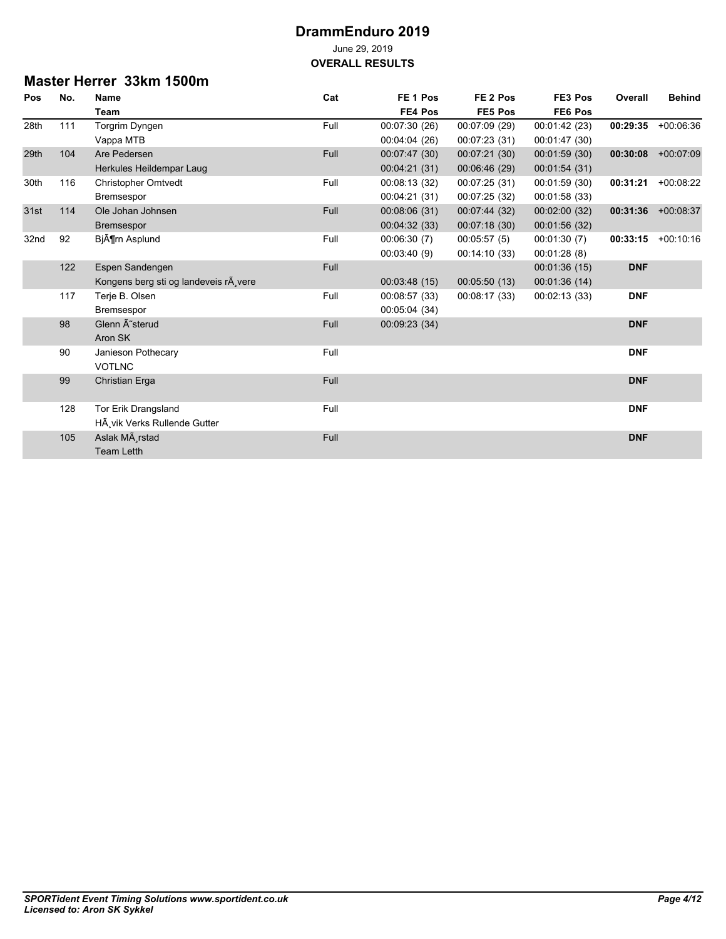### **Master Herrer 33km 1500m**

| Pos  | No. | <b>Name</b>                            | Cat  | FE <sub>1</sub> Pos | FE <sub>2</sub> Pos | FE3 Pos       | Overall    | <b>Behind</b> |
|------|-----|----------------------------------------|------|---------------------|---------------------|---------------|------------|---------------|
|      |     | Team                                   |      | FE4 Pos             | FE5 Pos             | FE6 Pos       |            |               |
| 28th | 111 | Torgrim Dyngen                         | Full | 00:07:30 (26)       | 00:07:09 (29)       | 00:01:42 (23) | 00:29:35   | $+00.06.36$   |
|      |     | Vappa MTB                              |      | 00:04:04 (26)       | 00:07:23(31)        | 00:01:47 (30) |            |               |
| 29th | 104 | Are Pedersen                           | Full | 00:07:47 (30)       | 00:07:21(30)        | 00:01:59(30)  | 00:30:08   | $+00.07:09$   |
|      |     | Herkules Heildempar Laug               |      | 00:04:21 (31)       | 00:06:46 (29)       | 00:01:54 (31) |            |               |
| 30th | 116 | <b>Christopher Omtvedt</b>             | Full | 00:08:13 (32)       | 00:07:25 (31)       | 00:01:59 (30) | 00:31:21   | $+00:08:22$   |
|      |     | Bremsespor                             |      | 00:04:21 (31)       | 00:07:25 (32)       | 00:01:58 (33) |            |               |
| 31st | 114 | Ole Johan Johnsen                      | Full | 00:08:06 (31)       | 00:07:44 (32)       | 00:02:00 (32) | 00:31:36   | $+00.08:37$   |
|      |     | <b>Bremsespor</b>                      |      | 00:04:32(33)        | 00:07:18(30)        | 00:01:56 (32) |            |               |
| 32nd | 92  | BjĶrn Asplund                          | Full | 00:06:30(7)         | 00:05:57(5)         | 00:01:30(7)   | 00:33:15   | $+00:10:16$   |
|      |     |                                        |      | 00:03:40(9)         | 00:14:10(33)        | 00:01:28(8)   |            |               |
|      | 122 | Espen Sandengen                        | Full |                     |                     | 00:01:36 (15) | <b>DNF</b> |               |
|      |     | Kongens berg sti og landeveis rÂ, vere |      | 00:03:48(15)        | 00:05:50(13)        | 00:01:36 (14) |            |               |
|      | 117 | Terje B. Olsen                         | Full | 00:08:57 (33)       | 00:08:17 (33)       | 00:02:13 (33) | <b>DNF</b> |               |
|      |     | Bremsespor                             |      | 00:05:04 (34)       |                     |               |            |               |
|      | 98  | Glenn Ä~sterud                         | Full | 00:09:23(34)        |                     |               | <b>DNF</b> |               |
|      |     | Aron SK                                |      |                     |                     |               |            |               |
|      | 90  | Janieson Pothecary                     | Full |                     |                     |               | <b>DNF</b> |               |
|      |     | <b>VOTLNC</b>                          |      |                     |                     |               |            |               |
|      | 99  | <b>Christian Erga</b>                  | Full |                     |                     |               | <b>DNF</b> |               |
|      |     |                                        |      |                     |                     |               |            |               |
|      | 128 | Tor Erik Drangsland                    | Full |                     |                     |               | <b>DNF</b> |               |
|      |     | HÃ vik Verks Rullende Gutter           |      |                     |                     |               |            |               |
|      | 105 | Aslak MÃ rstad                         | Full |                     |                     |               | <b>DNF</b> |               |
|      |     | <b>Team Letth</b>                      |      |                     |                     |               |            |               |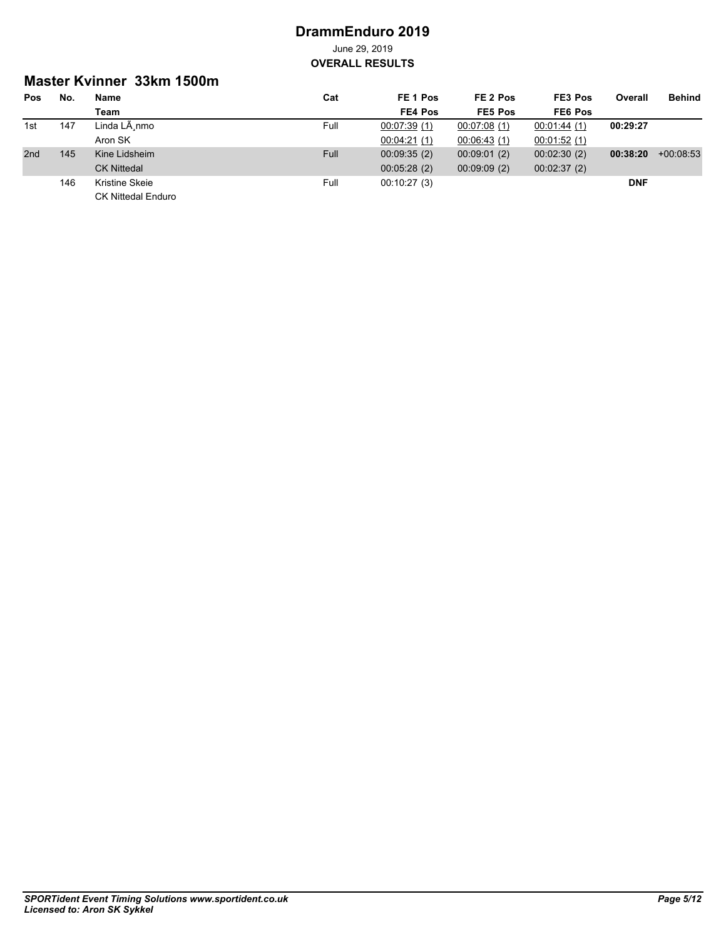### **Master Kvinner 33km 1500m**

| <b>Pos</b> | No. | Name                      | Cat         | FE 1 Pos    | FE 2 Pos    | FE3 Pos     | Overall    | <b>Behind</b> |
|------------|-----|---------------------------|-------------|-------------|-------------|-------------|------------|---------------|
|            |     | Team                      |             | FE4 Pos     | FE5 Pos     | FE6 Pos     |            |               |
| 1st        | 147 | Linda LÃ nmo              | Full        | 00:07:39(1) | 00:07:08(1) | 00.01.44(1) | 00:29:27   |               |
|            |     | Aron SK                   |             | 00.04:21(1) | 00:06:43(1) | 00:01:52(1) |            |               |
| 2nd        | 145 | Kine Lidsheim             | <b>Full</b> | 00.09.35(2) | 00:09:01(2) | 00:02:30(2) | 00:38:20   | $+00.08.53$   |
|            |     | <b>CK Nittedal</b>        |             | 00:05:28(2) | 00:09:09(2) | 00:02:37(2) |            |               |
|            | 146 | Kristine Skeie            | Full        | 00:10:27(3) |             |             | <b>DNF</b> |               |
|            |     | <b>CK Nittedal Enduro</b> |             |             |             |             |            |               |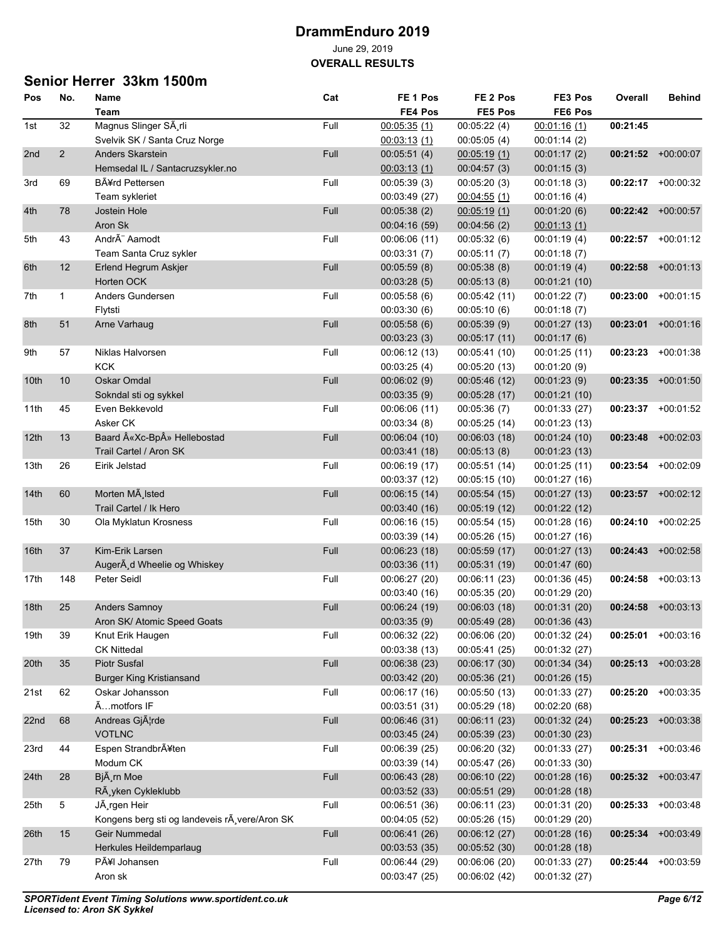### **Senior Herrer 33km 1500m**

| Pos             | No.            | Name                                          | Cat  | FE <sub>1</sub> Pos | FE <sub>2</sub> Pos | FE3 Pos       | Overall  | <b>Behind</b>        |
|-----------------|----------------|-----------------------------------------------|------|---------------------|---------------------|---------------|----------|----------------------|
|                 |                | Team                                          |      | FE4 Pos             | FE5 Pos             | FE6 Pos       |          |                      |
| 1st             | 32             | Magnus Slinger SÃ rli                         | Full | 00:05:35(1)         | 00:05:22(4)         | 00:01:16(1)   | 00:21:45 |                      |
|                 |                | Svelvik SK / Santa Cruz Norge                 |      | 00.03.13(1)         | 00:05:05(4)         | 00:01:14(2)   |          |                      |
| 2 <sub>nd</sub> | $\overline{2}$ | <b>Anders Skarstein</b>                       | Full | 00:05:51(4)         | 00.05.19(1)         | 00:01:17(2)   |          | $00:21:52$ +00:00:07 |
|                 |                | Hemsedal IL / Santacruzsykler.no              |      | 00.03.13(1)         | 00:04:57(3)         | 00:01:15(3)   |          |                      |
| 3rd             | 69             | <b>B</b> A¥rd Pettersen                       | Full | 00:05:39(3)         | 00:05:20(3)         | 00:01:18(3)   |          | 00:22:17 +00:00:32   |
|                 |                | Team sykleriet                                |      | 00:03:49 (27)       | 00:04:55(1)         | 00:01:16(4)   |          |                      |
| 4th             | 78             | Jostein Hole                                  | Full | 00:05:38(2)         | 00.05.19(1)         | 00:01:20(6)   |          | 00:22:42 +00:00:57   |
|                 |                | Aron Sk                                       |      | 00:04:16 (59)       | 00:04:56(2)         | 00:01:13(1)   |          |                      |
| 5th             | 43             | AndrÃ" Aamodt                                 | Full | 00:06:06 (11)       | 00:05:32(6)         | 00:01:19(4)   | 00:22:57 | $+00:01:12$          |
|                 |                | Team Santa Cruz sykler                        |      | 00:03:31(7)         | 00:05:11(7)         | 00:01:18(7)   |          |                      |
| 6th             | 12             | Erlend Hegrum Askjer                          | Full | 00:05:59(8)         | 00:05:38(8)         | 00:01:19(4)   | 00:22:58 | $+00:01:13$          |
|                 |                | Horten OCK                                    |      | 00:03:28(5)         | 00.05:13(8)         | 00:01:21(10)  |          |                      |
| 7th             | 1              | Anders Gundersen                              | Full | 00:05:58(6)         | 00:05:42 (11)       | 00:01:22(7)   | 00:23:00 | $+00:01:15$          |
|                 |                | Flytsti                                       |      | 00:03:30(6)         | 00:05:10(6)         | 00:01:18(7)   |          |                      |
| 8th             | 51             | Arne Varhaug                                  | Full | 00:05:58(6)         | 00:05:39(9)         | 00:01:27 (13) | 00:23:01 | $+00:01:16$          |
|                 |                |                                               |      | 00:03:23(3)         | 00:05:17(11)        | 00:01:17(6)   |          |                      |
| 9th             | 57             | Niklas Halvorsen                              | Full | 00.06:12(13)        | 00:05:41 (10)       | 00:01:25 (11) | 00:23:23 | $+00.01.38$          |
|                 |                | <b>KCK</b>                                    |      | 00:03:25(4)         | 00:05:20 (13)       | 00:01:20(9)   |          |                      |
| 10th            | 10             | Oskar Omdal                                   | Full | 00:06:02(9)         |                     |               | 00:23:35 | $+00:01:50$          |
|                 |                |                                               |      |                     | 00:05:46 (12)       | 00:01:23(9)   |          |                      |
|                 |                | Sokndal sti og sykkel                         |      | 00:03:35(9)         | 00:05:28 (17)       | 00:01:21 (10) |          |                      |
| 11th            | 45             | Even Bekkevold                                | Full | 00:06:06 (11)       | 00:05:36(7)         | 00:01:33 (27) | 00:23:37 | $+00:01:52$          |
|                 |                | Asker CK                                      |      | 00:03:34(8)         | 00:05:25 (14)       | 00:01:23 (13) |          |                      |
| 12th            | 13             | Baard «Xc-Bp» Hellebostad                     | Full | 00:06:04 (10)       | 00:06:03(18)        | 00:01:24(10)  | 00:23:48 | $+00:02:03$          |
|                 |                | Trail Cartel / Aron SK                        |      | 00:03:41 (18)       | 00:05:13(8)         | 00:01:23(13)  |          |                      |
| 13th            | 26             | Eirik Jelstad                                 | Full | 00:06:19 (17)       | 00:05:51(14)        | 00:01:25 (11) | 00:23:54 | $+00.02:09$          |
|                 |                |                                               |      | 00:03:37 (12)       | 00:05:15 (10)       | 00:01:27 (16) |          |                      |
| 14th            | 60             | Morten MA Isted                               | Full | 00:06:15(14)        | 00:05:54(15)        | 00:01:27 (13) |          | 00:23:57 +00:02:12   |
|                 |                | Trail Cartel / Ik Hero                        |      | 00:03:40 (16)       | 00:05:19(12)        | 00:01:22 (12) |          |                      |
| 15th            | 30             | Ola Myklatun Krosness                         | Full | 00.06.16(15)        | 00:05:54(15)        | 00:01:28(16)  | 00:24:10 | $+00:02:25$          |
|                 |                |                                               |      | 00.03.39(14)        | 00:05:26(15)        | 00:01:27 (16) |          |                      |
| 16th            | 37             | Kim-Erik Larsen                               | Full | 00:06:23(18)        | 00:05:59 (17)       | 00:01:27(13)  | 00:24:43 | $+00:02:58$          |
|                 |                | AugerA d Wheelie og Whiskey                   |      | 00:03:36 (11)       | 00:05:31 (19)       | 00:01:47 (60) |          |                      |
| 17th            | 148            | Peter Seidl                                   | Full | 00:06:27 (20)       | 00:06:11 (23)       | 00:01:36 (45) | 00:24:58 | $+00:03:13$          |
|                 |                |                                               |      | 00:03:40 (16)       | 00:05:35 (20)       | 00:01:29 (20) |          |                      |
| 18th            | 25             | <b>Anders Samnoy</b>                          | Full | 00:06:24(19)        | 00:06:03(18)        | 00:01:31 (20) | 00:24:58 | $+00:03:13$          |
|                 |                | Aron SK/ Atomic Speed Goats                   |      | 00:03:35(9)         | 00:05:49 (28)       | 00:01:36 (43) |          |                      |
| 19th            | 39             | Knut Erik Haugen                              | Full | 00:06:32 (22)       | 00:06:06 (20)       | 00:01:32 (24) | 00:25:01 | $+00:03:16$          |
|                 |                | <b>CK Nittedal</b>                            |      | 00:03:38 (13)       | 00:05:41 (25)       | 00:01:32 (27) |          |                      |
| 20th            | 35             | <b>Piotr Susfal</b>                           | Full | 00:06:38 (23)       | 00:06:17 (30)       | 00:01:34 (34) |          | $00:25:13 +00:03:28$ |
|                 |                | <b>Burger King Kristiansand</b>               |      | 00:03:42 (20)       | 00:05:36 (21)       | 00:01:26 (15) |          |                      |
| 21st            | 62             | Oskar Johansson                               | Full | 00:06:17 (16)       | 00:05:50 (13)       | 00:01:33 (27) | 00:25:20 | $+00:03:35$          |
|                 |                | Ãmotfors IF                                   |      | 00:03:51 (31)       | 00:05:29(18)        | 00:02:20 (68) |          |                      |
| 22nd            | 68             | Andreas GjAlrde                               | Full | 00:06:46 (31)       | 00:06:11 (23)       | 00:01:32 (24) | 00:25:23 | $+00.03.38$          |
|                 |                | <b>VOTLNC</b>                                 |      | 00:03:45 (24)       | 00:05:39 (23)       | 00:01:30 (23) |          |                      |
| 23rd            | 44             | Espen Strandbrĥten                            | Full | 00:06:39 (25)       | 00:06:20 (32)       | 00:01:33 (27) | 00:25:31 | $+00.03:46$          |
|                 |                | Modum CK                                      |      | 00:03:39 (14)       | 00:05:47 (26)       | 00:01:33 (30) |          |                      |
| 24th            | 28             | Bjà rn Moe                                    | Full | 00:06:43 (28)       | 00:06:10 (22)       | 00:01:28 (16) |          | $00:25:32$ +00:03:47 |
|                 |                | RÃ yken Cykleklubb                            |      | 00:03:52 (33)       | 00:05:51 (29)       | 00:01:28(18)  |          |                      |
| 25th            | 5              | JÃ rgen Heir                                  | Full | 00:06:51 (36)       | 00:06:11 (23)       | 00:01:31 (20) | 00:25:33 | $+00:03:48$          |
|                 |                | Kongens berg sti og landeveis rà vere/Aron SK |      | 00:04:05 (52)       | 00:05:26(15)        | 00:01:29 (20) |          |                      |
| 26th            | 15             | Geir Nummedal                                 | Full | 00:06:41 (26)       | 00:06:12 (27)       | 00:01:28 (16) | 00:25:34 | $+00:03:49$          |
|                 |                | Herkules Heildemparlaug                       |      | 00:03:53 (35)       | 00:05:52 (30)       | 00:01:28 (18) |          |                      |
| 27th            | 79             | PÃ¥I Johansen                                 | Full | 00:06:44 (29)       | 00:06:06 (20)       | 00:01:33 (27) |          | 00:25:44 +00:03:59   |
|                 |                | Aron sk                                       |      | 00:03:47 (25)       | 00:06:02 (42)       | 00:01:32 (27) |          |                      |
|                 |                |                                               |      |                     |                     |               |          |                      |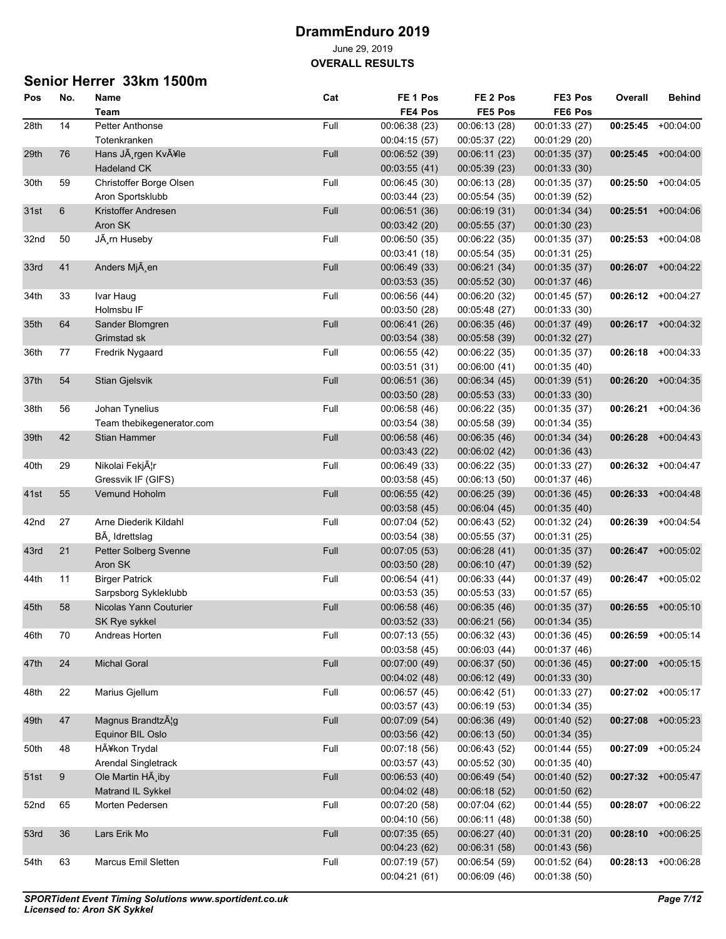**OVERALL RESULTS**

## **Senior Herrer 33km 1500m**

| Pos  | No.            | Name                      | Cat  | FE <sub>1</sub> Pos | FE 2 Pos      | FE3 Pos       | Overall  | Behind               |
|------|----------------|---------------------------|------|---------------------|---------------|---------------|----------|----------------------|
|      |                | Team                      |      | FE4 Pos             | FE5 Pos       | FE6 Pos       |          |                      |
| 28th | 14             | Petter Anthonse           | Full | 00:06:38 (23)       | 00:06:13 (28) | 00:01:33 (27) |          | 00:25:45 +00:04:00   |
|      |                | Totenkranken              |      | 00:04:15 (57)       | 00:05:37 (22) | 00:01:29 (20) |          |                      |
| 29th | 76             | Hans Jà rgen Kvåle        | Full | 00:06:52 (39)       | 00:06:11 (23) | 00:01:35 (37) | 00:25:45 | $+00.04:00$          |
|      |                | <b>Hadeland CK</b>        |      | 00:03:55(41)        | 00:05:39(23)  | 00:01:33 (30) |          |                      |
| 30th | 59             | Christoffer Borge Olsen   | Full | 00:06:45 (30)       | 00:06:13 (28) | 00:01:35 (37) | 00:25:50 | $+00:04:05$          |
|      |                | Aron Sportsklubb          |      | 00:03:44 (23)       | 00:05:54 (35) | 00:01:39 (52) |          |                      |
| 31st | $6\phantom{1}$ | Kristoffer Andresen       | Full | 00:06:51 (36)       | 00:06:19 (31) | 00:01:34 (34) | 00:25:51 | $+00:04:06$          |
|      |                | Aron SK                   |      | 00:03:42 (20)       | 00:05:55 (37) | 00:01:30 (23) |          |                      |
| 32nd | 50             | JÃ rn Huseby              | Full | 00:06:50 (35)       | 00:06:22 (35) | 00:01:35 (37) | 00:25:53 | $+00.04.08$          |
|      |                |                           |      | 00:03:41 (18)       | 00:05:54 (35) | 00:01:31 (25) |          |                      |
| 33rd | 41             | Anders Mjà en             | Full | 00:06:49 (33)       | 00:06:21 (34) | 00:01:35 (37) |          | 00:26:07 +00:04:22   |
|      |                |                           |      | 00:03:53(35)        | 00:05:52(30)  | 00:01:37 (46) |          |                      |
| 34th | 33             | Ivar Haug                 | Full | 00:06:56 (44)       | 00:06:20 (32) | 00:01:45 (57) |          | $00:26:12 +00:04:27$ |
|      |                | Holmsbu IF                |      |                     | 00:05:48 (27) |               |          |                      |
|      |                |                           |      | 00:03:50 (28)       |               | 00:01:33 (30) |          |                      |
| 35th | 64             | Sander Blomgren           | Full | 00:06:41 (26)       | 00:06:35(46)  | 00:01:37 (49) |          | 00:26:17 +00:04:32   |
|      |                | Grimstad sk               |      | 00:03:54 (38)       | 00:05:58 (39) | 00:01:32 (27) |          |                      |
| 36th | 77             | Fredrik Nygaard           | Full | 00:06:55(42)        | 00:06:22(35)  | 00:01:35 (37) | 00:26:18 | $+00:04:33$          |
|      |                |                           |      | 00:03:51(31)        | 00:06:00 (41) | 00:01:35(40)  |          |                      |
| 37th | 54             | <b>Stian Gjelsvik</b>     | Full | 00:06:51 (36)       | 00:06:34(45)  | 00:01:39 (51) | 00:26:20 | $+00:04:35$          |
|      |                |                           |      | 00:03:50 (28)       | 00:05:53(33)  | 00:01:33 (30) |          |                      |
| 38th | 56             | Johan Tynelius            | Full | 00:06:58 (46)       | 00:06:22(35)  | 00:01:35 (37) | 00:26:21 | $+00:04:36$          |
|      |                | Team thebikegenerator.com |      | 00:03:54(38)        | 00:05:58 (39) | 00:01:34 (35) |          |                      |
| 39th | 42             | <b>Stian Hammer</b>       | Full | 00:06:58 (46)       | 00:06:35(46)  | 00:01:34 (34) | 00:26:28 | $+00.04:43$          |
|      |                |                           |      | 00:03:43 (22)       | 00:06:02(42)  | 00:01:36 (43) |          |                      |
| 40th | 29             | Nikolai Fekj¦r            | Full | 00:06:49 (33)       | 00:06:22(35)  | 00:01:33 (27) | 00:26:32 | $+00.04:47$          |
|      |                | Gressvik IF (GIFS)        |      | 00:03:58(45)        | 00:06:13 (50) | 00:01:37 (46) |          |                      |
| 41st | 55             | Vemund Hoholm             | Full | 00:06:55 (42)       | 00:06:25(39)  | 00:01:36 (45) | 00:26:33 | $+00.04:48$          |
|      |                |                           |      | 00:03:58 (45)       | 00:06:04 (45) | 00:01:35 (40) |          |                      |
| 42nd | 27             | Arne Diederik Kildahl     | Full | 00:07:04 (52)       | 00:06:43 (52) | 00:01:32 (24) | 00:26:39 | $+00:04:54$          |
|      |                | BÃ, Idrettslag            |      | 00:03:54 (38)       | 00:05:55 (37) | 00:01:31 (25) |          |                      |
| 43rd | 21             | Petter Solberg Svenne     | Full | 00:07:05(53)        | 00:06:28(41)  | 00:01:35 (37) | 00:26:47 | $+00:05:02$          |
|      |                | Aron SK                   |      | 00:03:50 (28)       | 00:06:10 (47) | 00:01:39 (52) |          |                      |
| 44th | 11             | <b>Birger Patrick</b>     | Full | 00:06:54(41)        | 00:06:33 (44) | 00:01:37 (49) | 00:26:47 | $+00:05:02$          |
|      |                | Sarpsborg Sykleklubb      |      | 00:03:53(35)        | 00:05:53 (33) | 00:01:57 (65) |          |                      |
| 45th | 58             | Nicolas Yann Couturier    | Full | 00:06:58 (46)       | 00:06:35(46)  | 00:01:35 (37) | 00:26:55 | $+00.05:10$          |
|      |                | SK Rye sykkel             |      | 00:03:52 (33)       | 00:06:21 (56) | 00:01:34 (35) |          |                      |
| 46th | 70             | Andreas Horten            | Full | 00:07:13 (55)       | 00:06:32 (43) | 00:01:36 (45) | 00:26:59 | $+00:05:14$          |
|      |                |                           |      | 00:03:58 (45)       | 00:06:03 (44) | 00:01:37 (46) |          |                      |
| 47th | 24             | <b>Michal Goral</b>       | Full | 00:07:00 (49)       | 00:06:37 (50) | 00:01:36 (45) | 00:27:00 | $+00:05:15$          |
|      |                |                           |      | 00:04:02 (48)       | 00:06:12 (49) | 00:01:33 (30) |          |                      |
| 48th | 22             | Marius Gjellum            | Full | 00:06:57(45)        | 00:06.42(51)  | 00:01:33 (27) |          | 00:27:02 +00:05:17   |
|      |                |                           |      | 00:03:57 (43)       | 00:06:19 (53) | 00:01:34 (35) |          |                      |
| 49th | 47             | Magnus BrandtzAlg         | Full | 00:07:09 (54)       | 00:06:36 (49) | 00:01:40 (52) | 00:27:08 | $+00:05:23$          |
|      |                | Equinor BIL Oslo          |      | 00:03:56 (42)       |               |               |          |                      |
|      |                |                           |      |                     | 00:06:13 (50) | 00:01:34 (35) |          |                      |
| 50th | 48             | HÃ¥kon Trydal             | Full | 00:07:18 (56)       | 00:06:43 (52) | 00:01:44 (55) | 00:27:09 | $+00:05:24$          |
|      |                | Arendal Singletrack       |      | 00:03:57 (43)       | 00:05:52 (30) | 00:01:35 (40) |          |                      |
| 51st | $9\,$          | Ole Martin HA iby         | Full | 00:06:53 (40)       | 00:06.49(54)  | 00:01:40 (52) |          | 00:27:32 +00:05:47   |
|      |                | Matrand IL Sykkel         |      | 00:04:02 (48)       | 00:06:18 (52) | 00:01:50 (62) |          |                      |
| 52nd | 65             | Morten Pedersen           | Full | 00:07:20 (58)       | 00:07:04 (62) | 00:01:44 (55) |          | 00:28:07 +00:06:22   |
|      |                |                           |      | 00:04:10 (56)       | 00:06:11 (48) | 00:01:38 (50) |          |                      |
| 53rd | 36             | Lars Erik Mo              | Full | 00:07:35 (65)       | 00:06:27 (40) | 00:01:31 (20) | 00:28:10 | $+00:06:25$          |
|      |                |                           |      | 00:04:23 (62)       | 00:06:31 (58) | 00:01:43 (56) |          |                      |
| 54th | 63             | Marcus Emil Sletten       | Full | 00:07:19 (57)       | 00:06:54 (59) | 00:01:52 (64) |          | $00:28:13 +00:06:28$ |
|      |                |                           |      | 00:04:21 (61)       | 00:06:09 (46) | 00:01:38 (50) |          |                      |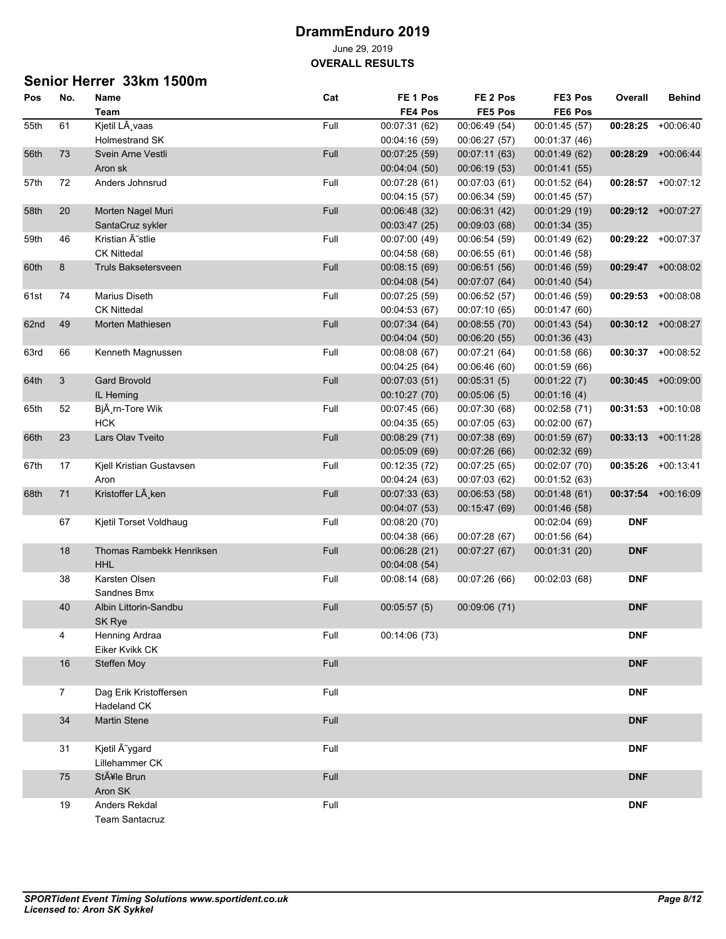**OVERALL RESULTS**

## **Senior Herrer 33km 1500m**

| Pos  | No.            | Name                       | Cat  | FE <sub>1</sub> Pos | FE 2 Pos      | FE3 Pos       | Overall    | <b>Behind</b>      |
|------|----------------|----------------------------|------|---------------------|---------------|---------------|------------|--------------------|
|      |                | Team                       |      | FE4 Pos             | FE5 Pos       | FE6 Pos       |            |                    |
| 55th | 61             | Kjetil LÃ vaas             | Full | 00:07:31 (62)       | 00:06:49 (54) | 00:01:45 (57) | 00:28:25   | $+00.06:40$        |
|      |                | <b>Holmestrand SK</b>      |      | 00:04:16 (59)       | 00:06:27 (57) | 00:01:37 (46) |            |                    |
| 56th | 73             | Svein Arne Vestli          | Full | 00:07:25 (59)       | 00:07:11 (63) | 00:01:49 (62) | 00:28:29   | $+00.06.44$        |
|      |                | Aron sk                    |      | 00:04:04 (50)       | 00:06:19 (53) | 00:01:41 (55) |            |                    |
| 57th | 72             | Anders Johnsrud            | Full | 00:07:28 (61)       | 00:07:03 (61) | 00:01:52 (64) | 00:28:57   | $+00:07:12$        |
|      |                |                            |      | 00:04:15 (57)       | 00:06:34 (59) | 00:01:45 (57) |            |                    |
| 58th | 20             | Morten Nagel Muri          | Full | 00:06:48 (32)       | 00:06:31 (42) | 00:01:29 (19) |            | 00:29:12 +00:07:27 |
|      |                | SantaCruz sykler           |      | 00:03:47 (25)       | 00:09:03 (68) | 00:01:34 (35) |            |                    |
| 59th | 46             | Kristian Ä~stlie           | Full | 00:07:00 (49)       | 00:06:54 (59) | 00:01:49 (62) | 00:29:22   | +00:07:37          |
|      |                | <b>CK Nittedal</b>         |      | 00:04:58(68)        | 00:06:55 (61) | 00:01:46 (58) |            |                    |
| 60th | 8              | <b>Truls Baksetersveen</b> | Full | 00:08:15 (69)       | 00:06:51 (56) | 00:01:46 (59) |            | 00:29:47 +00:08:02 |
|      |                |                            |      | 00:04:08 (54)       | 00:07:07 (64) | 00:01:40 (54) |            |                    |
| 61st | 74             | Marius Diseth              | Full | 00:07:25 (59)       | 00:06:52 (57) | 00:01:46 (59) | 00:29:53   | $+00.08.08$        |
|      |                | <b>CK Nittedal</b>         |      | 00:04:53 (67)       | 00:07:10 (65) | 00:01:47 (60) |            |                    |
| 62nd | 49             | Morten Mathiesen           | Full | 00:07:34 (64)       | 00:08:55 (70) | 00:01:43 (54) |            | 00:30:12 +00:08:27 |
|      |                |                            |      | 00:04:04 (50)       | 00:06:20 (55) | 00:01:36 (43) |            |                    |
| 63rd | 66             | Kenneth Magnussen          | Full | 00:08:08 (67)       | 00:07:21 (64) | 00:01:58 (66) | 00:30:37   | $+00:08:52$        |
|      |                |                            |      | 00:04:25 (64)       | 00:06:46 (60) | 00:01:59 (66) |            |                    |
| 64th | 3              | <b>Gard Brovold</b>        | Full | 00:07:03 (51)       | 00:05:31(5)   | 00:01:22(7)   | 00:30:45   | $+00:09:00$        |
|      |                | IL Heming                  |      | 00:10:27 (70)       | 00:05:06(5)   | 00:01:16(4)   |            |                    |
|      |                | Bjà rn-Tore Wik            |      |                     |               |               | 00:31:53   |                    |
| 65th | 52             | <b>HCK</b>                 | Full | 00:07:45 (66)       | 00:07:30 (68) | 00:02:58 (71) |            | $+00:10:08$        |
|      | 23             | Lars Olav Tveito           | Full | 00:04:35 (65)       | 00:07:05 (63) | 00:02:00 (67) |            | $+00:11:28$        |
| 66th |                |                            |      | 00:08:29 (71)       | 00:07:38 (69) | 00:01:59 (67) | 00:33:13   |                    |
|      |                |                            |      | 00:05:09 (69)       | 00:07:26 (66) | 00:02:32 (69) |            |                    |
| 67th | 17             | Kjell Kristian Gustavsen   | Full | 00:12:35 (72)       | 00:07:25 (65) | 00:02:07 (70) | 00:35:26   | $+00.13.41$        |
|      |                | Aron                       |      | 00:04:24 (63)       | 00:07:03 (62) | 00:01:52 (63) |            |                    |
| 68th | 71             | Kristoffer LA ken          | Full | 00:07:33 (63)       | 00:06:53(58)  | 00:01:48(61)  | 00:37:54   | $+00:16:09$        |
|      |                |                            |      | 00:04:07 (53)       | 00:15:47 (69) | 00:01:46 (58) |            |                    |
|      | 67             | Kjetil Torset Voldhaug     | Full | 00:08:20 (70)       |               | 00:02:04 (69) | <b>DNF</b> |                    |
|      |                |                            |      | 00:04:38 (66)       | 00:07:28 (67) | 00:01:56 (64) |            |                    |
|      | 18             | Thomas Rambekk Henriksen   | Full | 00:06:28 (21)       | 00:07:27 (67) | 00:01:31 (20) | <b>DNF</b> |                    |
|      |                | <b>HHL</b>                 |      | 00:04:08 (54)       |               |               |            |                    |
|      | 38             | Karsten Olsen              | Full | 00.08.14(68)        | 00:07:26 (66) | 00:02:03 (68) | <b>DNF</b> |                    |
|      |                | Sandnes Bmx                |      |                     |               |               |            |                    |
|      | 40             | Albin Littorin-Sandbu      | Full | 00:05:57(5)         | 00:09:06 (71) |               | <b>DNF</b> |                    |
|      |                | SK Rye                     |      |                     |               |               |            |                    |
|      | 4              | Henning Ardraa             | Full | 00:14:06 (73)       |               |               | <b>DNF</b> |                    |
|      |                | Eiker Kvikk CK             |      |                     |               |               |            |                    |
|      | 16             | <b>Steffen Moy</b>         | Full |                     |               |               | <b>DNF</b> |                    |
|      |                |                            |      |                     |               |               |            |                    |
|      | $\overline{7}$ | Dag Erik Kristoffersen     | Full |                     |               |               | <b>DNF</b> |                    |
|      |                | Hadeland CK                |      |                     |               |               |            |                    |
|      | $34\,$         | <b>Martin Stene</b>        | Full |                     |               |               | <b>DNF</b> |                    |
|      | 31             | Kjetil Ã~ygard             | Full |                     |               |               | <b>DNF</b> |                    |
|      |                | Lillehammer CK             |      |                     |               |               |            |                    |
|      | 75             | Ståle Brun                 | Full |                     |               |               | <b>DNF</b> |                    |
|      |                | Aron SK                    |      |                     |               |               |            |                    |
|      | 19             | Anders Rekdal              | Full |                     |               |               | <b>DNF</b> |                    |
|      |                | <b>Team Santacruz</b>      |      |                     |               |               |            |                    |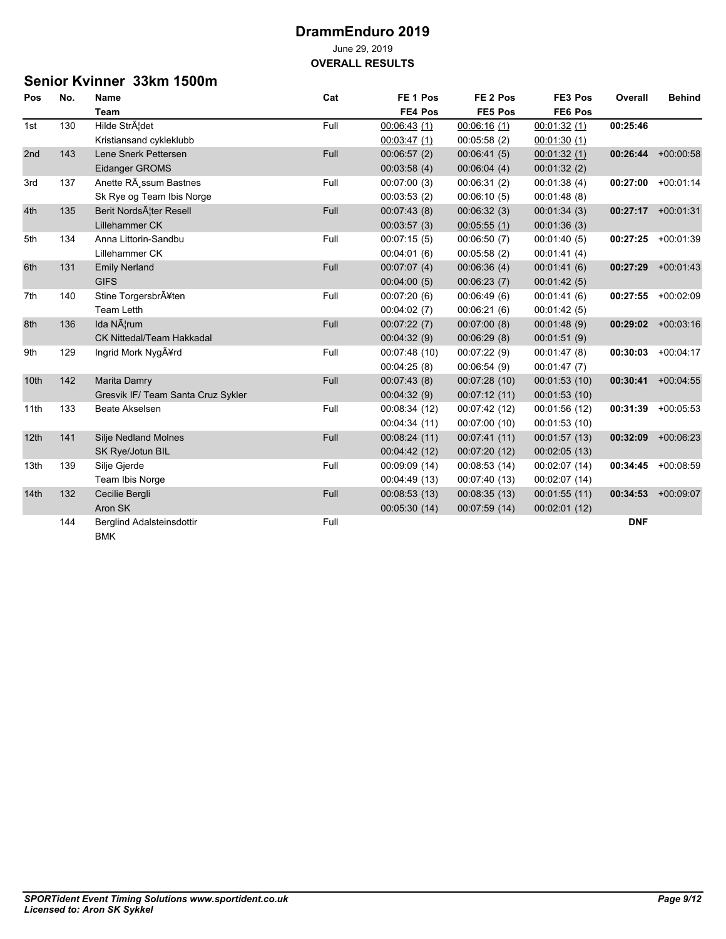### **Senior Kvinner 33km 1500m**

| Pos              | No. | <b>Name</b>                        | Cat  | FE <sub>1</sub> Pos | FE <sub>2</sub> Pos | FE3 Pos       | Overall    | <b>Behind</b> |
|------------------|-----|------------------------------------|------|---------------------|---------------------|---------------|------------|---------------|
|                  |     | <b>Team</b>                        |      | FE4 Pos             | FE5 Pos             | FE6 Pos       |            |               |
| 1st              | 130 | Hilde StrĦdet                      | Full | 00:06:43(1)         | 00:06:16(1)         | 00:01:32(1)   | 00:25:46   |               |
|                  |     | Kristiansand cykleklubb            |      | 00:03:47(1)         | 00:05:58(2)         | 00:01:30(1)   |            |               |
| 2nd              | 143 | Lene Snerk Pettersen               | Full | 00:06:57(2)         | 00:06:41(5)         | 00.01.32(1)   | 00:26:44   | $+00:00:58$   |
|                  |     | Eidanger GROMS                     |      | 00:03:58(4)         | 00:06:04(4)         | 00:01:32(2)   |            |               |
| 3rd              | 137 | Anette RA ssum Bastnes             | Full | 00:07:00(3)         | 00:06:31(2)         | 00:01:38(4)   | 00:27:00   | $+00:01:14$   |
|                  |     | Sk Rye og Team Ibis Norge          |      | 00:03:53(2)         | 00:06:10(5)         | 00:01:48(8)   |            |               |
| 4th              | 135 | Berit NordsAlter Resell            | Full | 00:07:43(8)         | 00:06:32(3)         | 00:01:34(3)   | 00:27:17   | $+00.01:31$   |
|                  |     | Lillehammer CK                     |      | 00:03:57(3)         | 00:05:55(1)         | 00:01:36(3)   |            |               |
| 5th              | 134 | Anna Littorin-Sandbu               | Full | 00:07:15(5)         | 00:06:50(7)         | 00:01:40(5)   | 00:27:25   | $+00.01.39$   |
|                  |     | Lillehammer CK                     |      | 00:04:01(6)         | 00:05:58(2)         | 00:01:41(4)   |            |               |
| 6th              | 131 | <b>Emily Nerland</b>               | Full | 00:07:07(4)         | 00:06:36(4)         | 00:01:41(6)   | 00:27:29   | $+00:01:43$   |
|                  |     | <b>GIFS</b>                        |      | 00:04:00(5)         | 00:06:23(7)         | 00:01:42(5)   |            |               |
| 7th              | 140 | Stine Torgersbrĥten                | Full | 00:07:20(6)         | 00:06:49(6)         | 00:01:41(6)   | 00:27:55   | $+00:02:09$   |
|                  |     | <b>Team Letth</b>                  |      | 00:04:02(7)         | 00:06:21(6)         | 00:01:42(5)   |            |               |
| 8th              | 136 | Ida Nærum                          | Full | 00:07:22(7)         | 00:07:00(8)         | 00:01:48(9)   | 00:29:02   | $+00:03:16$   |
|                  |     | <b>CK Nittedal/Team Hakkadal</b>   |      | 00:04:32(9)         | 00:06:29(8)         | 00:01:51(9)   |            |               |
| 9th              | 129 | Ingrid Mork NygA¥rd                | Full | 00:07:48(10)        | 00:07:22(9)         | 00:01:47(8)   | 00:30:03   | $+00:04:17$   |
|                  |     |                                    |      | 00:04:25(8)         | 00:06:54(9)         | 00:01:47(7)   |            |               |
| 10th             | 142 | Marita Damry                       | Full | 00:07:43(8)         | 00:07:28(10)        | 00:01:53(10)  | 00:30:41   | $+00:04:55$   |
|                  |     | Gresvik IF/ Team Santa Cruz Sykler |      | 00:04:32(9)         | 00:07:12(11)        | 00:01:53 (10) |            |               |
| 11th             | 133 | <b>Beate Akselsen</b>              | Full | 00:08:34 (12)       | 00:07:42 (12)       | 00:01:56 (12) | 00:31:39   | $+00:05:53$   |
|                  |     |                                    |      | 00:04:34 (11)       | 00:07:00 (10)       | 00:01:53 (10) |            |               |
| 12 <sub>th</sub> | 141 | <b>Silje Nedland Molnes</b>        | Full | 00:08:24(11)        | 00:07:41(11)        | 00:01:57(13)  | 00:32:09   | $+00.06:23$   |
|                  |     | SK Rye/Jotun BIL                   |      | 00:04:42(12)        | 00:07:20 (12)       | 00:02:05(13)  |            |               |
| 13th             | 139 | Silje Gjerde                       | Full | 00:09:09(14)        | 00:08:53(14)        | 00:02:07 (14) | 00:34:45   | $+00:08:59$   |
|                  |     | Team Ibis Norge                    |      | 00:04:49 (13)       | 00:07:40 (13)       | 00:02:07 (14) |            |               |
| 14th             | 132 | Cecilie Bergli                     | Full | 00:08:53(13)        | 00:08:35(13)        | 00:01:55(11)  | 00:34:53   | $+00.09:07$   |
|                  |     | Aron SK                            |      | 00:05:30 (14)       | 00:07:59 (14)       | 00:02:01(12)  |            |               |
|                  | 144 | Berglind Adalsteinsdottir          | Full |                     |                     |               | <b>DNF</b> |               |
|                  |     | <b>BMK</b>                         |      |                     |                     |               |            |               |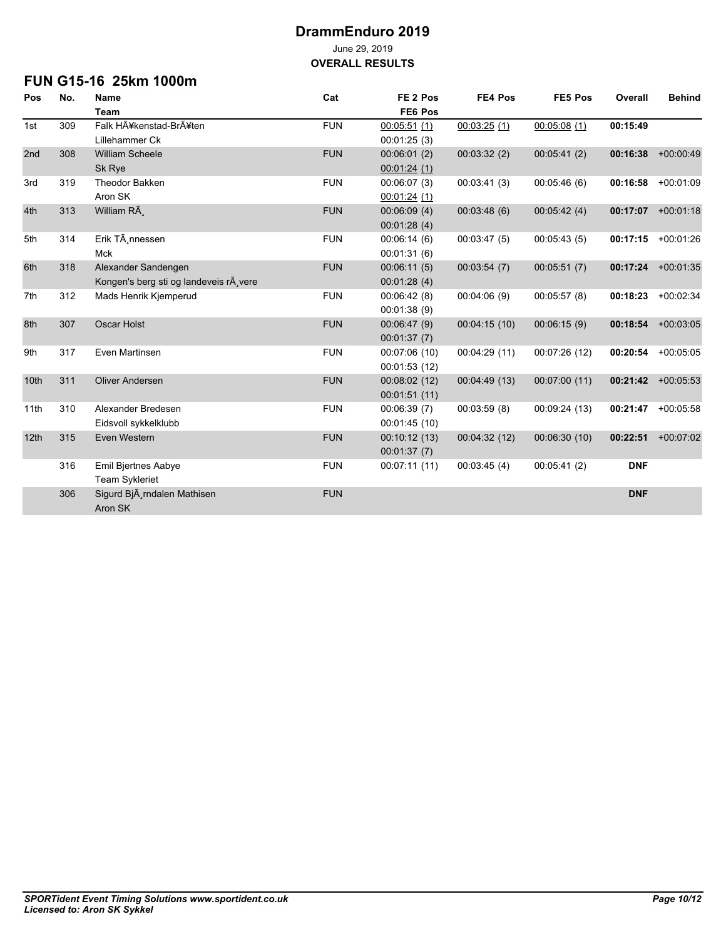**OVERALL RESULTS**

## **FUN G15-16 25km 1000m**

| Pos  | No. | <b>Name</b>                           | Cat        | FE <sub>2</sub> Pos | FE4 Pos      | FE5 Pos       | Overall    | <b>Behind</b> |
|------|-----|---------------------------------------|------------|---------------------|--------------|---------------|------------|---------------|
|      |     | <b>Team</b>                           |            | FE6 Pos             |              |               |            |               |
| 1st  | 309 | Falk Hĥkenstad-Brĥten                 | <b>FUN</b> | 00:05:51(1)         | 00:03:25(1)  | 00:05:08(1)   | 00:15:49   |               |
|      |     | Lillehammer Ck                        |            | 00:01:25(3)         |              |               |            |               |
| 2nd  | 308 | <b>William Scheele</b>                | <b>FUN</b> | 00.06:01(2)         | 00:03:32(2)  | 00:05:41(2)   | 00:16:38   | $+00:00:49$   |
|      |     | Sk Rye                                |            | 00:01:24(1)         |              |               |            |               |
| 3rd  | 319 | <b>Theodor Bakken</b>                 | <b>FUN</b> | 00:06:07(3)         | 00:03:41(3)  | 00:05:46(6)   | 00:16:58   | $+00.01:09$   |
|      |     | Aron SK                               |            | 00:01:24(1)         |              |               |            |               |
| 4th  | 313 | William RÃ                            | <b>FUN</b> | 00:06:09(4)         | 00:03:48(6)  | 00:05:42(4)   | 00:17:07   | $+00:01:18$   |
|      |     |                                       |            | 00:01:28(4)         |              |               |            |               |
| 5th  | 314 | Erik TÃ nnessen                       | <b>FUN</b> | 00:06:14(6)         | 00:03:47(5)  | 00:05:43(5)   | 00:17:15   | $+00:01:26$   |
|      |     | <b>Mck</b>                            |            | 00:01:31(6)         |              |               |            |               |
| 6th  | 318 | Alexander Sandengen                   | <b>FUN</b> | 00:06:11(5)         | 00:03:54(7)  | 00:05:51(7)   | 00:17:24   | $+00.01:35$   |
|      |     | Kongen's berg sti og landeveis r vere |            | 00:01:28(4)         |              |               |            |               |
| 7th  | 312 | Mads Henrik Kjemperud                 | <b>FUN</b> | 00:06:42(8)         | 00:04:06(9)  | 00:05:57(8)   | 00:18:23   | $+00:02:34$   |
|      |     |                                       |            | 00:01:38(9)         |              |               |            |               |
| 8th  | 307 | Oscar Holst                           | <b>FUN</b> | 00:06:47(9)         | 00:04:15(10) | 00:06:15(9)   | 00:18:54   | $+00:03:05$   |
|      |     |                                       |            | 00:01:37(7)         |              |               |            |               |
| 9th  | 317 | Even Martinsen                        | <b>FUN</b> | 00:07:06 (10)       | 00:04:29(11) | 00:07:26 (12) | 00:20:54   | $+00:05:05$   |
|      |     |                                       |            | 00:01:53(12)        |              |               |            |               |
| 10th | 311 | <b>Oliver Andersen</b>                | <b>FUN</b> | 00:08:02 (12)       | 00:04:49(13) | 00:07:00 (11) | 00:21:42   | $+00:05:53$   |
|      |     |                                       |            | 00:01:51(11)        |              |               |            |               |
| 11th | 310 | Alexander Bredesen                    | <b>FUN</b> | 00:06:39(7)         | 00:03:59(8)  | 00:09:24 (13) | 00:21:47   | $+00:05:58$   |
|      |     | Eidsvoll sykkelklubb                  |            | 00:01:45(10)        |              |               |            |               |
| 12th | 315 | Even Western                          | <b>FUN</b> | 00:10:12(13)        | 00:04:32(12) | 00:06:30 (10) | 00:22:51   | $+00:07:02$   |
|      |     |                                       |            | 00:01:37(7)         |              |               |            |               |
|      | 316 | <b>Emil Bjertnes Aabye</b>            | <b>FUN</b> | 00:07:11 (11)       | 00:03:45(4)  | 00:05:41(2)   | <b>DNF</b> |               |
|      |     | <b>Team Sykleriet</b>                 |            |                     |              |               |            |               |
|      | 306 | Sigurd BjÄ rndalen Mathisen           | <b>FUN</b> |                     |              |               | <b>DNF</b> |               |
|      |     | Aron SK                               |            |                     |              |               |            |               |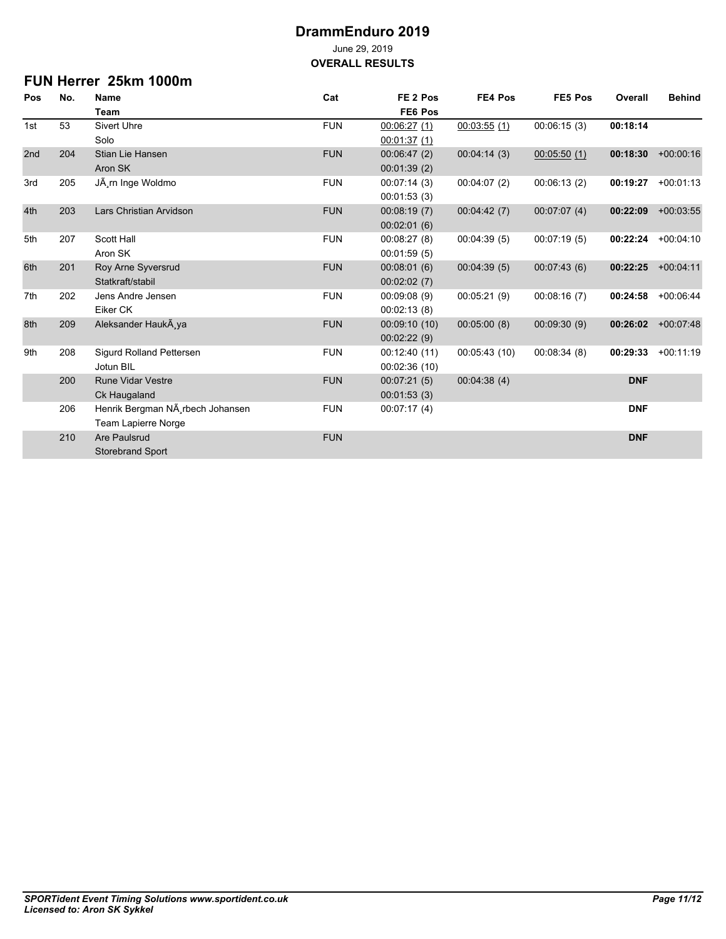**OVERALL RESULTS**

## **FUN Herrer 25km 1000m**

| Pos | No. | <b>Name</b>                      | Cat        | FE <sub>2</sub> Pos | FE4 Pos      | FE5 Pos     | Overall    | <b>Behind</b> |
|-----|-----|----------------------------------|------------|---------------------|--------------|-------------|------------|---------------|
|     |     | Team                             |            | FE6 Pos             |              |             |            |               |
| 1st | 53  | <b>Sivert Uhre</b>               | <b>FUN</b> | 00.06.27(1)         | 00:03:55(1)  | 00:06:15(3) | 00:18:14   |               |
|     |     | Solo                             |            | 00:01:37(1)         |              |             |            |               |
| 2nd | 204 | Stian Lie Hansen                 | <b>FUN</b> | 00:06:47(2)         | 00:04:14(3)  | 00:05:50(1) | 00:18:30   | $+00:00:16$   |
|     |     | Aron SK                          |            | 00:01:39(2)         |              |             |            |               |
| 3rd | 205 | JÃ rn Inge Woldmo                | <b>FUN</b> | 00:07:14(3)         | 00:04:07(2)  | 00:06:13(2) | 00:19:27   | $+00:01:13$   |
|     |     |                                  |            | 00:01:53(3)         |              |             |            |               |
| 4th | 203 | Lars Christian Arvidson          | <b>FUN</b> | 00:08:19(7)         | 00:04:42(7)  | 00:07:07(4) | 00:22:09   | $+00:03:55$   |
|     |     |                                  |            | 00:02:01(6)         |              |             |            |               |
| 5th | 207 | Scott Hall                       | <b>FUN</b> | 00:08:27(8)         | 00:04:39(5)  | 00:07:19(5) | 00:22:24   | $+00:04:10$   |
|     |     | Aron SK                          |            | 00:01:59(5)         |              |             |            |               |
| 6th | 201 | Roy Arne Syversrud               | <b>FUN</b> | 00:08:01(6)         | 00:04:39(5)  | 00:07:43(6) | 00:22:25   | $+00.04:11$   |
|     |     | Statkraft/stabil                 |            | 00:02:02(7)         |              |             |            |               |
| 7th | 202 | Jens Andre Jensen                | <b>FUN</b> | 00:09:08(9)         | 00:05:21(9)  | 00:08:16(7) | 00:24:58   | $+00:06:44$   |
|     |     | Eiker CK                         |            | 00:02:13(8)         |              |             |            |               |
| 8th | 209 | Aleksander HaukA ya              | <b>FUN</b> | 00:09:10(10)        | 00:05:00(8)  | 00:09:30(9) | 00:26:02   | $+00:07:48$   |
|     |     |                                  |            | 00:02:22(9)         |              |             |            |               |
| 9th | 208 | Sigurd Rolland Pettersen         | <b>FUN</b> | 00:12:40 (11)       | 00:05:43(10) | 00:08:34(8) | 00:29:33   | $+00:11:19$   |
|     |     | Jotun BIL                        |            | 00:02:36(10)        |              |             |            |               |
|     | 200 | <b>Rune Vidar Vestre</b>         | <b>FUN</b> | 00:07:21(5)         | 00:04:38(4)  |             | <b>DNF</b> |               |
|     |     | Ck Haugaland                     |            | 00:01:53(3)         |              |             |            |               |
|     | 206 | Henrik Bergman NA rbech Johansen | <b>FUN</b> | 00:07:17(4)         |              |             | <b>DNF</b> |               |
|     |     | Team Lapierre Norge              |            |                     |              |             |            |               |
|     | 210 | Are Paulsrud                     | <b>FUN</b> |                     |              |             | <b>DNF</b> |               |
|     |     | <b>Storebrand Sport</b>          |            |                     |              |             |            |               |